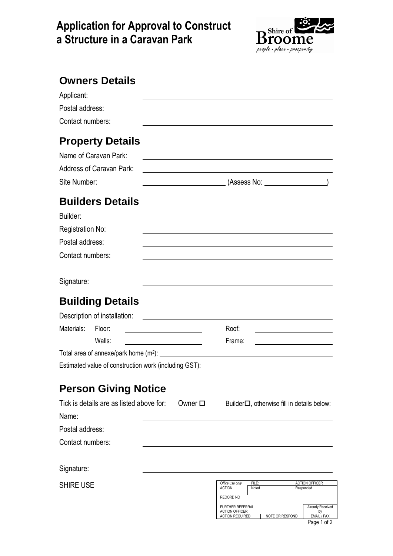## **Application for Approval to Construct a Structure in a Caravan Park**



| <b>Owners Details</b>                                                                                                |                                                                                                                         |                                                                                                                      |                |                                                        |
|----------------------------------------------------------------------------------------------------------------------|-------------------------------------------------------------------------------------------------------------------------|----------------------------------------------------------------------------------------------------------------------|----------------|--------------------------------------------------------|
| Applicant:                                                                                                           |                                                                                                                         |                                                                                                                      |                |                                                        |
| Postal address:<br>Contact numbers:                                                                                  |                                                                                                                         |                                                                                                                      |                |                                                        |
| <b>Property Details</b><br>Name of Caravan Park:                                                                     |                                                                                                                         |                                                                                                                      |                |                                                        |
| <b>Address of Caravan Park:</b><br>Site Number:                                                                      |                                                                                                                         | <u> 1989 - Johann John Stone, markin film yn y brening yn y brening yn y brening yn y brening y brening yn y bre</u> |                | (Assess No:                                            |
| <b>Builders Details</b><br>Builder:                                                                                  |                                                                                                                         |                                                                                                                      |                |                                                        |
| Registration No:                                                                                                     |                                                                                                                         |                                                                                                                      |                |                                                        |
| Postal address:                                                                                                      |                                                                                                                         |                                                                                                                      |                |                                                        |
| Contact numbers:                                                                                                     |                                                                                                                         |                                                                                                                      |                |                                                        |
| Signature:                                                                                                           |                                                                                                                         |                                                                                                                      |                |                                                        |
| <b>Building Details</b>                                                                                              |                                                                                                                         |                                                                                                                      |                |                                                        |
| Description of installation:                                                                                         | <u> 1980 - Jan Barbara Barat, prima popular popular popular popular popular popular popular popular popular popu</u>    |                                                                                                                      |                |                                                        |
| Materials:<br>Floor:                                                                                                 |                                                                                                                         | Roof:                                                                                                                |                |                                                        |
| Walls:                                                                                                               | <u> The Communication of the Communication of the Communication of the Communication of the Communication of the Co</u> | Frame:                                                                                                               |                |                                                        |
| Total area of annexe/park home (m <sup>2</sup> ): _________<br>Estimated value of construction work (including GST): |                                                                                                                         |                                                                                                                      |                |                                                        |
| <b>Person Giving Notice</b>                                                                                          |                                                                                                                         |                                                                                                                      |                |                                                        |
| Tick is details are as listed above for:<br>Name:                                                                    | Owner □                                                                                                                 |                                                                                                                      |                | Builder□, otherwise fill in details below:             |
| Postal address:                                                                                                      |                                                                                                                         |                                                                                                                      |                |                                                        |
| Contact numbers:                                                                                                     |                                                                                                                         |                                                                                                                      |                |                                                        |
| Signature:                                                                                                           |                                                                                                                         |                                                                                                                      |                |                                                        |
| <b>SHIRE USE</b>                                                                                                     |                                                                                                                         | Office use only<br><b>ACTION</b><br><b>RECORD NO</b><br><b>FURTHER REFERRAL</b>                                      | FILE:<br>Noted | <b>ACTION OFFICER</b><br>Responded<br>Already Received |
|                                                                                                                      |                                                                                                                         | <b>ACTION OFFICER</b><br><b>ACTION REQUIRED</b>                                                                      |                | by<br>NOTE OR RESPOND<br>EMAIL / FAX                   |

Page 1 of 2